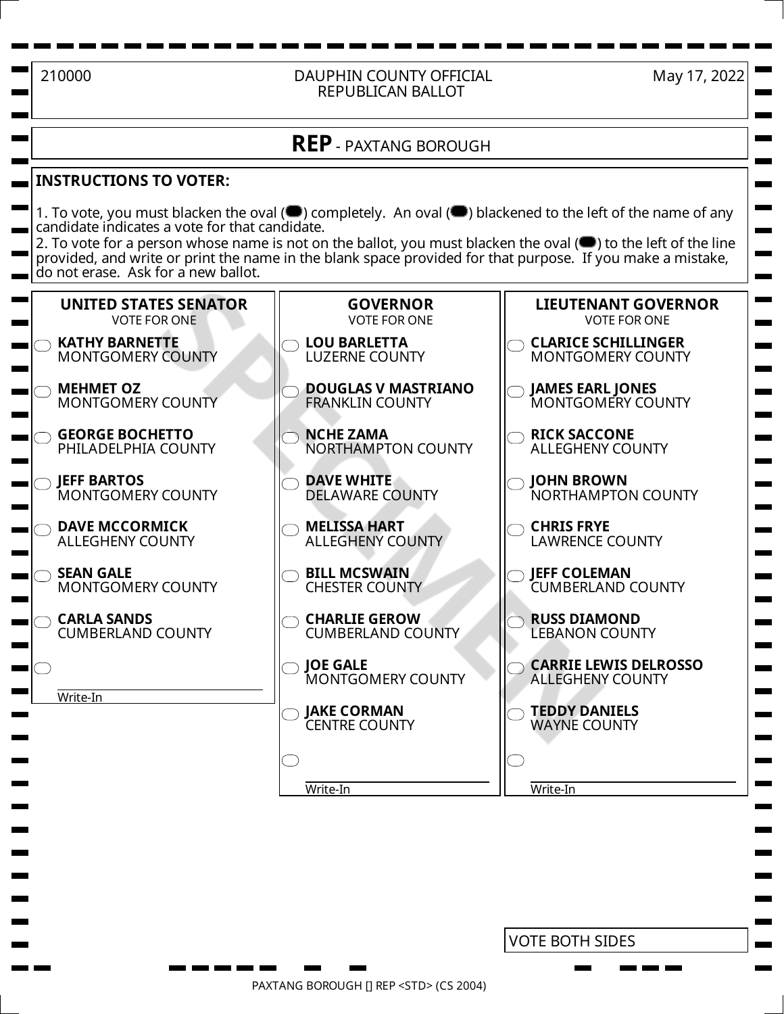## 210000 DAUPHIN COUNTY OFFICIAL REPUBLICAN BALLOT

May 17, 2022

## **REP**- PAXTANG BOROUGH

## **INSTRUCTIONS TO VOTER:**

1. To vote, you must blacken the oval (●) completely. An oval (●) blackened to the left of the name of any candidate indicates a vote for that candidate.

2. To vote for a person whose name is not on the ballot, you must blacken the oval  $($ **)** to the left of the line provided, and write or print the name in the blank space provided for that purpose. If you make a mistake, do not erase. Ask for a new ballot.



VOTE BOTH SIDES